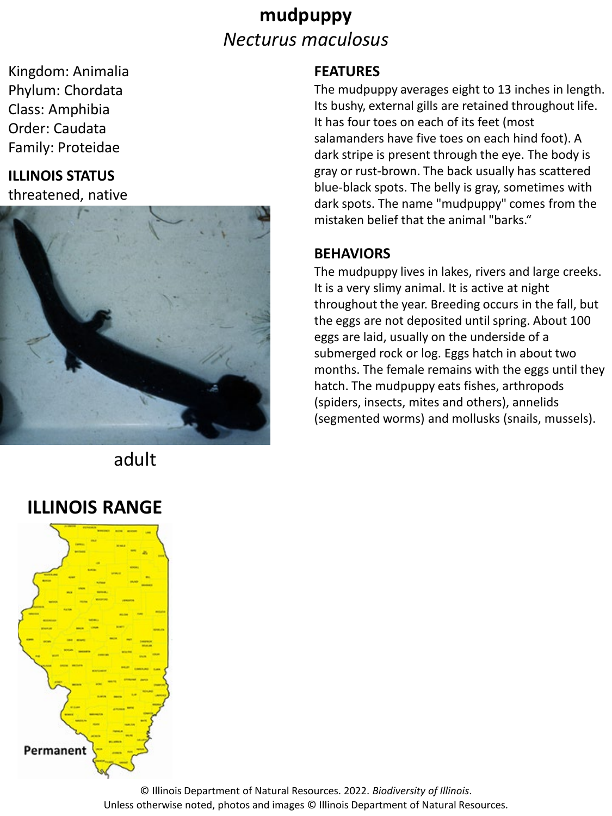## **mudpuppy** *Necturus maculosus*

Kingdom: Animalia Phylum: Chordata Class: Amphibia Order: Caudata Family: Proteidae

# **ILLINOIS STATUS**

threatened, native



adult

## **ILLINOIS RANGE**



#### **FEATURES**

The mudpuppy averages eight to 13 inches in length. Its bushy, external gills are retained throughout life. It has four toes on each of its feet (most salamanders have five toes on each hind foot). A dark stripe is present through the eye. The body is gray or rust-brown. The back usually has scattered blue-black spots. The belly is gray, sometimes with dark spots. The name "mudpuppy" comes from the mistaken belief that the animal "barks."

#### **BEHAVIORS**

The mudpuppy lives in lakes, rivers and large creeks. It is a very slimy animal. It is active at night throughout the year. Breeding occurs in the fall, but the eggs are not deposited until spring. About 100 eggs are laid, usually on the underside of a submerged rock or log. Eggs hatch in about two months. The female remains with the eggs until they hatch. The mudpuppy eats fishes, arthropods (spiders, insects, mites and others), annelids (segmented worms) and mollusks (snails, mussels).

© Illinois Department of Natural Resources. 2022. *Biodiversity of Illinois*. Unless otherwise noted, photos and images © Illinois Department of Natural Resources.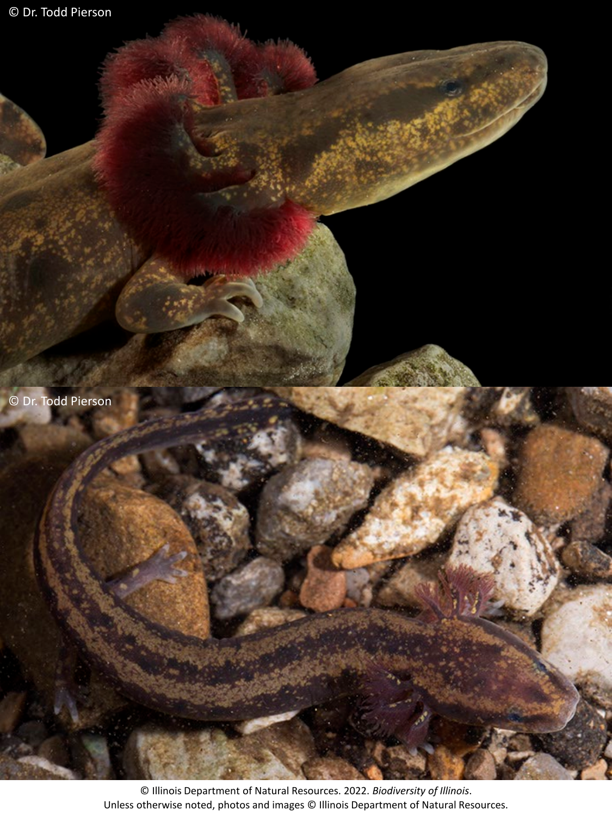

© Illinois Department of Natural Resources. 2022. *Biodiversity of Illinois*. Unless otherwise noted, photos and images © Illinois Department of Natural Resources.